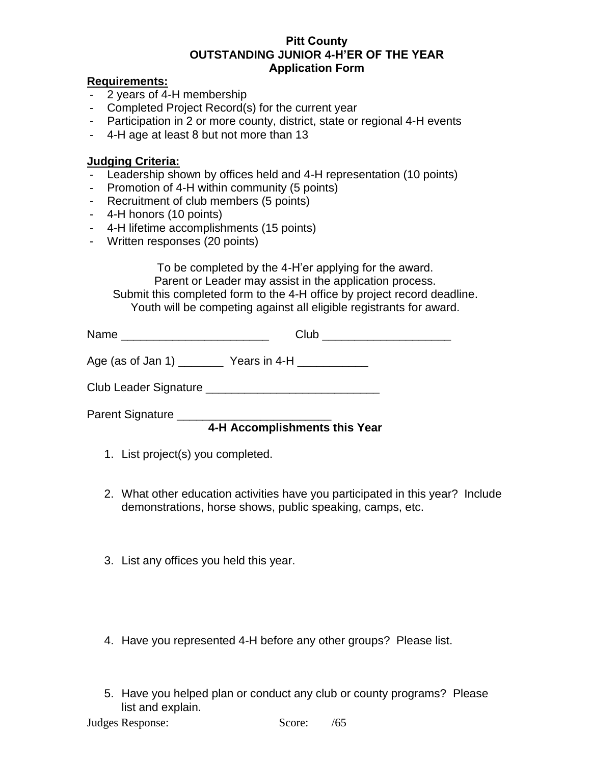#### **Pitt County OUTSTANDING JUNIOR 4-H'ER OF THE YEAR Application Form**

#### **Requirements:**

- 2 years of 4-H membership
- Completed Project Record(s) for the current year
- Participation in 2 or more county, district, state or regional 4-H events
- 4-H age at least 8 but not more than 13

### **Judging Criteria:**

- Leadership shown by offices held and 4-H representation (10 points)
- Promotion of 4-H within community (5 points)
- Recruitment of club members (5 points)
- 4-H honors (10 points)
- 4-H lifetime accomplishments (15 points)
- Written responses (20 points)

To be completed by the 4-H'er applying for the award. Parent or Leader may assist in the application process. Submit this completed form to the 4-H office by project record deadline. Youth will be competing against all eligible registrants for award.

| Name | - 1-<br>. |
|------|-----------|
|------|-----------|

Age (as of Jan 1) The Years in 4-H

Club Leader Signature \_\_\_\_\_\_\_\_\_\_\_\_\_\_\_\_\_\_\_\_\_\_\_\_\_\_\_

Parent Signature

# **4-H Accomplishments this Year**

- 1. List project(s) you completed.
- 2. What other education activities have you participated in this year? Include demonstrations, horse shows, public speaking, camps, etc.
- 3. List any offices you held this year.
- 4. Have you represented 4-H before any other groups? Please list.
- 5. Have you helped plan or conduct any club or county programs? Please list and explain.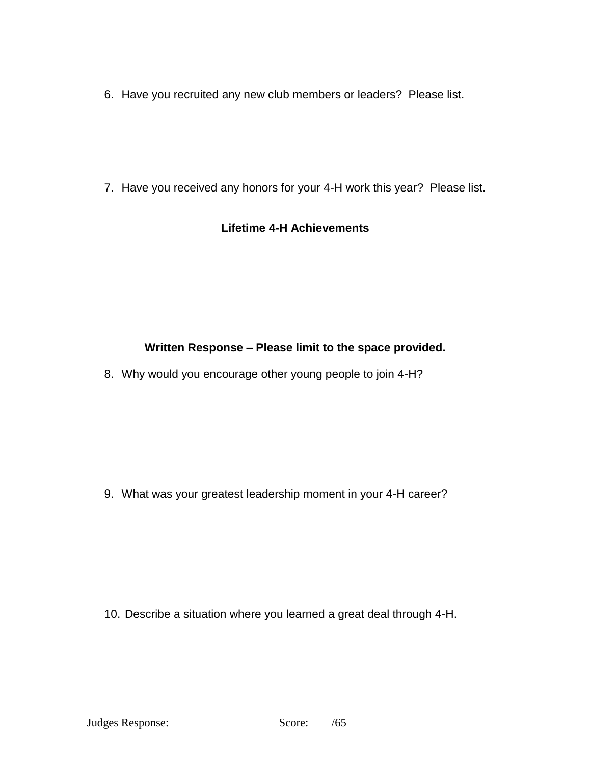6. Have you recruited any new club members or leaders? Please list.

7. Have you received any honors for your 4-H work this year? Please list.

### **Lifetime 4-H Achievements**

# **Written Response – Please limit to the space provided.**

8. Why would you encourage other young people to join 4-H?

9. What was your greatest leadership moment in your 4-H career?

10. Describe a situation where you learned a great deal through 4-H.